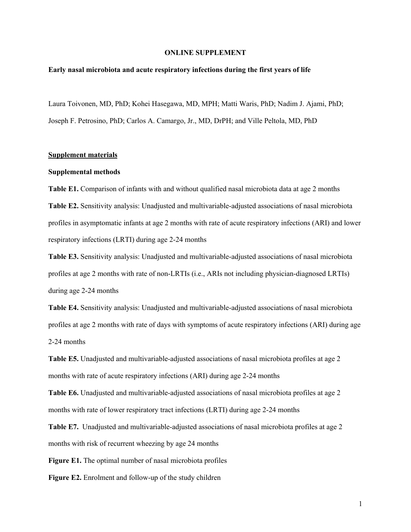### **ONLINE SUPPLEMENT**

#### **Early nasal microbiota and acute respiratory infections during the first years of life**

Laura Toivonen, MD, PhD; Kohei Hasegawa, MD, MPH; Matti Waris, PhD; Nadim J. Ajami, PhD; Joseph F. Petrosino, PhD; Carlos A. Camargo, Jr., MD, DrPH; and Ville Peltola, MD, PhD

### **Supplement materials**

#### **Supplemental methods**

**Table E1.** Comparison of infants with and without qualified nasal microbiota data at age 2 months **Table E2.** Sensitivity analysis: Unadjusted and multivariable-adjusted associations of nasal microbiota profiles in asymptomatic infants at age 2 months with rate of acute respiratory infections (ARI) and lower respiratory infections (LRTI) during age 2-24 months

**Table E3.** Sensitivity analysis: Unadjusted and multivariable-adjusted associations of nasal microbiota profiles at age 2 months with rate of non-LRTIs (i.e., ARIs not including physician-diagnosed LRTIs) during age 2-24 months

**Table E4.** Sensitivity analysis: Unadjusted and multivariable-adjusted associations of nasal microbiota profiles at age 2 months with rate of days with symptoms of acute respiratory infections (ARI) during age 2-24 months

**Table E5.** Unadjusted and multivariable-adjusted associations of nasal microbiota profiles at age 2 months with rate of acute respiratory infections (ARI) during age 2-24 months

**Table E6.** Unadjusted and multivariable-adjusted associations of nasal microbiota profiles at age 2 months with rate of lower respiratory tract infections (LRTI) during age 2-24 months

**Table E7.** Unadjusted and multivariable-adjusted associations of nasal microbiota profiles at age 2 months with risk of recurrent wheezing by age 24 months

**Figure E1.** The optimal number of nasal microbiota profiles

**Figure E2.** Enrolment and follow-up of the study children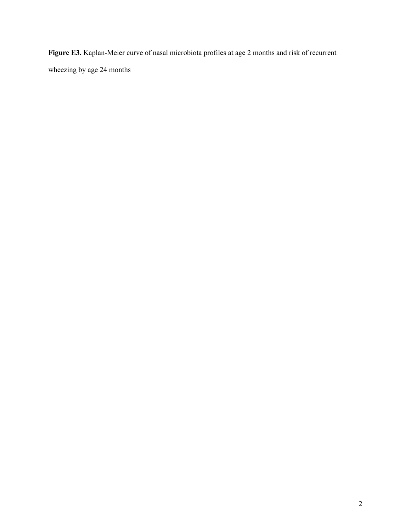**Figure E3.** Kaplan-Meier curve of nasal microbiota profiles at age 2 months and risk of recurrent wheezing by age 24 months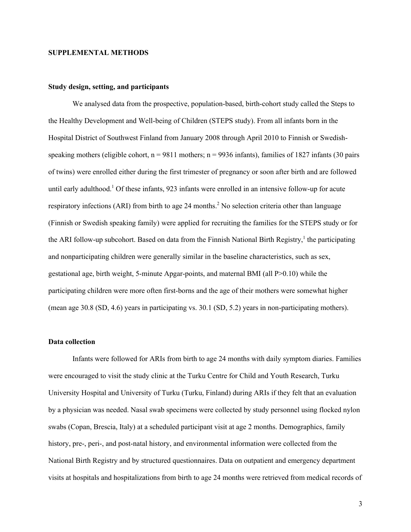#### **SUPPLEMENTAL METHODS**

#### **Study design, setting, and participants**

We analysed data from the prospective, population-based, birth-cohort study called the Steps to the Healthy Development and Well-being of Children (STEPS study). From all infants born in the Hospital District of Southwest Finland from January 2008 through April 2010 to Finnish or Swedishspeaking mothers (eligible cohort,  $n = 9811$  mothers;  $n = 9936$  infants), families of 1827 infants (30 pairs of twins) were enrolled either during the first trimester of pregnancy or soon after birth and are followed until early adulthood.<sup>1</sup> Of these infants, 923 infants were enrolled in an intensive follow-up for acute respiratory infections (ARI) from birth to age 24 months.<sup>2</sup> No selection criteria other than language (Finnish or Swedish speaking family) were applied for recruiting the families for the STEPS study or for the ARI follow-up subcohort. Based on data from the Finnish National Birth Registry,<sup>1</sup> the participating and nonparticipating children were generally similar in the baseline characteristics, such as sex, gestational age, birth weight, 5-minute Apgar-points, and maternal BMI (all P>0.10) while the participating children were more often first-borns and the age of their mothers were somewhat higher (mean age 30.8 (SD, 4.6) years in participating vs. 30.1 (SD, 5.2) years in non-participating mothers).

# **Data collection**

Infants were followed for ARIs from birth to age 24 months with daily symptom diaries. Families were encouraged to visit the study clinic at the Turku Centre for Child and Youth Research, Turku University Hospital and University of Turku (Turku, Finland) during ARIs if they felt that an evaluation by a physician was needed. Nasal swab specimens were collected by study personnel using flocked nylon swabs (Copan, Brescia, Italy) at a scheduled participant visit at age 2 months. Demographics, family history, pre-, peri-, and post-natal history, and environmental information were collected from the National Birth Registry and by structured questionnaires. Data on outpatient and emergency department visits at hospitals and hospitalizations from birth to age 24 months were retrieved from medical records of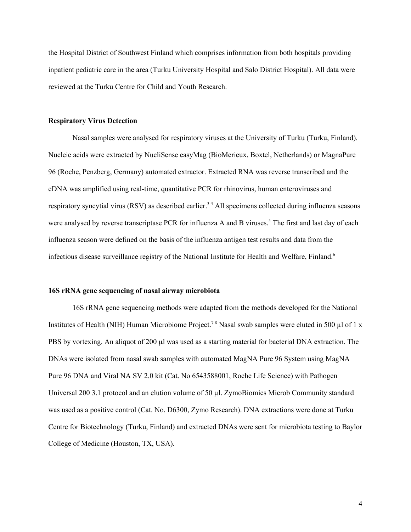the Hospital District of Southwest Finland which comprises information from both hospitals providing inpatient pediatric care in the area (Turku University Hospital and Salo District Hospital). All data were reviewed at the Turku Centre for Child and Youth Research.

#### **Respiratory Virus Detection**

Nasal samples were analysed for respiratory viruses at the University of Turku (Turku, Finland). Nucleic acids were extracted by NucliSense easyMag (BioMerieux, Boxtel, Netherlands) or MagnaPure 96 (Roche, Penzberg, Germany) automated extractor. Extracted RNA was reverse transcribed and the cDNA was amplified using real-time, quantitative PCR for rhinovirus, human enteroviruses and respiratory syncytial virus (RSV) as described earlier.<sup>34</sup> All specimens collected during influenza seasons were analysed by reverse transcriptase PCR for influenza A and B viruses.<sup>5</sup> The first and last day of each influenza season were defined on the basis of the influenza antigen test results and data from the infectious disease surveillance registry of the National Institute for Health and Welfare, Finland. 6

#### **16S rRNA gene sequencing of nasal airway microbiota**

16S rRNA gene sequencing methods were adapted from the methods developed for the National Institutes of Health (NIH) Human Microbiome Project.<sup>78</sup> Nasal swab samples were eluted in 500 µl of 1 x PBS by vortexing. An aliquot of 200 µl was used as a starting material for bacterial DNA extraction. The DNAs were isolated from nasal swab samples with automated MagNA Pure 96 System using MagNA Pure 96 DNA and Viral NA SV 2.0 kit (Cat. No 6543588001, Roche Life Science) with Pathogen Universal 200 3.1 protocol and an elution volume of 50 µl. ZymoBiomics Microb Community standard was used as a positive control (Cat. No. D6300, Zymo Research). DNA extractions were done at Turku Centre for Biotechnology (Turku, Finland) and extracted DNAs were sent for microbiota testing to Baylor College of Medicine (Houston, TX, USA).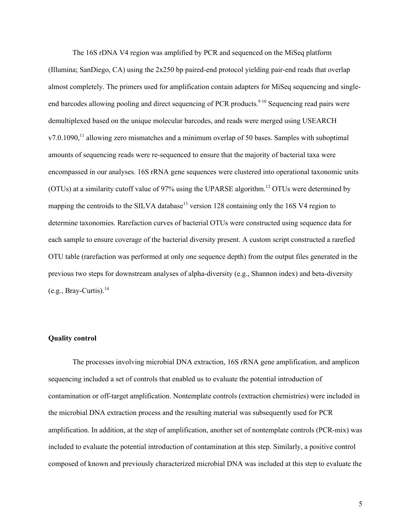The 16S rDNA V4 region was amplified by PCR and sequenced on the MiSeq platform (Illumina; SanDiego, CA) using the 2x250 bp paired-end protocol yielding pair-end reads that overlap almost completely. The primers used for amplification contain adapters for MiSeq sequencing and singleend barcodes allowing pooling and direct sequencing of PCR products.<sup>910</sup> Sequencing read pairs were demultiplexed based on the unique molecular barcodes, and reads were merged using USEARCH  $v7.0.1090$ ,<sup>11</sup> allowing zero mismatches and a minimum overlap of 50 bases. Samples with suboptimal amounts of sequencing reads were re-sequenced to ensure that the majority of bacterial taxa were encompassed in our analyses. 16S rRNA gene sequences were clustered into operational taxonomic units (OTUs) at a similarity cutoff value of 97% using the UPARSE algorithm. <sup>12</sup> OTUs were determined by mapping the centroids to the SILVA database<sup>13</sup> version 128 containing only the 16S V4 region to determine taxonomies. Rarefaction curves of bacterial OTUs were constructed using sequence data for each sample to ensure coverage of the bacterial diversity present. A custom script constructed a rarefied OTU table (rarefaction was performed at only one sequence depth) from the output files generated in the previous two steps for downstream analyses of alpha-diversity (e.g., Shannon index) and beta-diversity  $(e.g., Bray-Curtis).<sup>14</sup>$ 

#### **Quality control**

The processes involving microbial DNA extraction, 16S rRNA gene amplification, and amplicon sequencing included a set of controls that enabled us to evaluate the potential introduction of contamination or off-target amplification. Nontemplate controls (extraction chemistries) were included in the microbial DNA extraction process and the resulting material was subsequently used for PCR amplification. In addition, at the step of amplification, another set of nontemplate controls (PCR-mix) was included to evaluate the potential introduction of contamination at this step. Similarly, a positive control composed of known and previously characterized microbial DNA was included at this step to evaluate the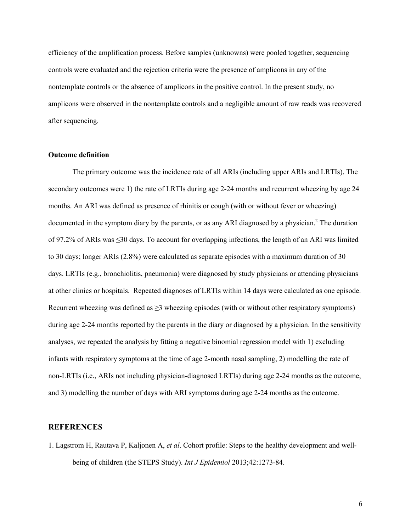efficiency of the amplification process. Before samples (unknowns) were pooled together, sequencing controls were evaluated and the rejection criteria were the presence of amplicons in any of the nontemplate controls or the absence of amplicons in the positive control. In the present study, no amplicons were observed in the nontemplate controls and a negligible amount of raw reads was recovered after sequencing.

# **Outcome definition**

The primary outcome was the incidence rate of all ARIs (including upper ARIs and LRTIs). The secondary outcomes were 1) the rate of LRTIs during age 2-24 months and recurrent wheezing by age 24 months. An ARI was defined as presence of rhinitis or cough (with or without fever or wheezing) documented in the symptom diary by the parents, or as any ARI diagnosed by a physician. <sup>2</sup> The duration of 97.2% of ARIs was ≤30 days. To account for overlapping infections, the length of an ARI was limited to 30 days; longer ARIs (2.8%) were calculated as separate episodes with a maximum duration of 30 days. LRTIs (e.g., bronchiolitis, pneumonia) were diagnosed by study physicians or attending physicians at other clinics or hospitals. Repeated diagnoses of LRTIs within 14 days were calculated as one episode. Recurrent wheezing was defined as  $\geq$ 3 wheezing episodes (with or without other respiratory symptoms) during age 2-24 months reported by the parents in the diary or diagnosed by a physician. In the sensitivity analyses, we repeated the analysis by fitting a negative binomial regression model with 1) excluding infants with respiratory symptoms at the time of age 2-month nasal sampling, 2) modelling the rate of non-LRTIs (i.e., ARIs not including physician-diagnosed LRTIs) during age 2-24 months as the outcome, and 3) modelling the number of days with ARI symptoms during age 2-24 months as the outcome.

### **REFERENCES**

1. Lagstrom H, Rautava P, Kaljonen A, *et al*. Cohort profile: Steps to the healthy development and wellbeing of children (the STEPS Study). *Int J Epidemiol* 2013;42:1273-84.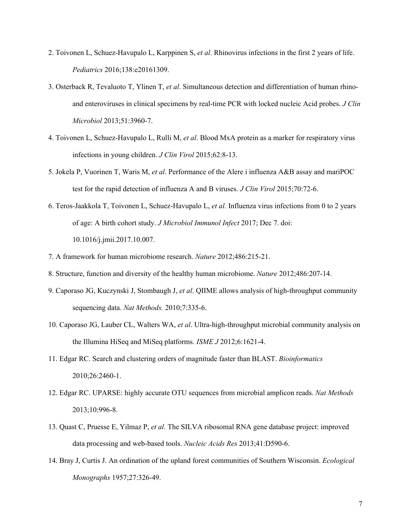- 2. Toivonen L, Schuez-Havupalo L, Karppinen S, *et al*. Rhinovirus infections in the first 2 years of life. *Pediatrics* 2016;138:e20161309.
- 3. Osterback R, Tevaluoto T, Ylinen T, *et al*. Simultaneous detection and differentiation of human rhinoand enteroviruses in clinical specimens by real-time PCR with locked nucleic Acid probes. *J Clin Microbiol* 2013;51:3960-7.
- 4. Toivonen L, Schuez-Havupalo L, Rulli M, *et al*. Blood MxA protein as a marker for respiratory virus infections in young children. *J Clin Virol* 2015;62:8-13.
- 5. Jokela P, Vuorinen T, Waris M, *et al*. Performance of the Alere i influenza A&B assay and mariPOC test for the rapid detection of influenza A and B viruses. *J Clin Virol* 2015;70:72-6.
- 6. Teros-Jaakkola T, Toivonen L, Schuez-Havupalo L, *et al*. Influenza virus infections from 0 to 2 years of age: A birth cohort study. *J Microbiol Immunol Infect* 2017; Dec 7. doi: 10.1016/j.jmii.2017.10.007.
- 7. A framework for human microbiome research. *Nature* 2012;486:215-21.
- 8. Structure, function and diversity of the healthy human microbiome. *Nature* 2012;486:207-14.
- 9. Caporaso JG, Kuczynski J, Stombaugh J, *et al*. QIIME allows analysis of high-throughput community sequencing data. *Nat Methods.* 2010;7:335-6.
- 10. Caporaso JG, Lauber CL, Walters WA, *et al*. Ultra-high-throughput microbial community analysis on the Illumina HiSeq and MiSeq platforms. *ISME J* 2012;6:1621-4.
- 11. Edgar RC. Search and clustering orders of magnitude faster than BLAST. *Bioinformatics* 2010;26:2460-1.
- 12. Edgar RC. UPARSE: highly accurate OTU sequences from microbial amplicon reads. *Nat Methods* 2013;10:996-8.
- 13. Quast C, Pruesse E, Yilmaz P, *et al*. The SILVA ribosomal RNA gene database project: improved data processing and web-based tools. *Nucleic Acids Res* 2013;41:D590-6.
- 14. Bray J, Curtis J. An ordination of the upland forest communities of Southern Wisconsin. *Ecological Monographs* 1957;27:326-49.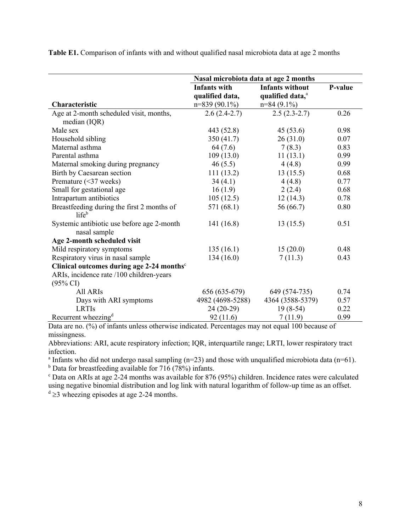**Table E1.** Comparison of infants with and without qualified nasal microbiota data at age 2 months

|                                                            | Nasal microbiota data at age 2 months                     |                                                                         |         |  |  |
|------------------------------------------------------------|-----------------------------------------------------------|-------------------------------------------------------------------------|---------|--|--|
| Characteristic                                             | <b>Infants with</b><br>qualified data,<br>$n=839(90.1\%)$ | <b>Infants without</b><br>qualified data, <sup>a</sup><br>$n=84(9.1\%)$ | P-value |  |  |
| Age at 2-month scheduled visit, months,                    | $2.6(2.4-2.7)$                                            | $2.5(2.3-2.7)$                                                          | 0.26    |  |  |
| median (IQR)                                               |                                                           |                                                                         |         |  |  |
| Male sex                                                   | 443 (52.8)                                                | 45(53.6)                                                                | 0.98    |  |  |
| Household sibling                                          | 350(41.7)                                                 | 26(31.0)                                                                | 0.07    |  |  |
| Maternal asthma                                            | 64 (7.6)                                                  | 7(8.3)                                                                  | 0.83    |  |  |
| Parental asthma                                            | 109(13.0)                                                 | 11(13.1)                                                                | 0.99    |  |  |
| Maternal smoking during pregnancy                          | 46(5.5)                                                   | 4(4.8)                                                                  | 0.99    |  |  |
| Birth by Caesarean section                                 | 111(13.2)                                                 | 13(15.5)                                                                | 0.68    |  |  |
| Premature (<37 weeks)                                      | 34(4.1)                                                   | 4(4.8)                                                                  | 0.77    |  |  |
| Small for gestational age                                  | 16(1.9)                                                   | 2(2.4)                                                                  | 0.68    |  |  |
| Intrapartum antibiotics                                    | 105(12.5)                                                 | 12(14.3)                                                                | 0.78    |  |  |
| Breastfeeding during the first 2 months of<br>$life^b$     | 571 (68.1)                                                | 56 (66.7)                                                               | 0.80    |  |  |
| Systemic antibiotic use before age 2-month<br>nasal sample | 141(16.8)                                                 | 13(15.5)                                                                | 0.51    |  |  |
| Age 2-month scheduled visit                                |                                                           |                                                                         |         |  |  |
| Mild respiratory symptoms                                  | 135(16.1)                                                 | 15(20.0)                                                                | 0.48    |  |  |
| Respiratory virus in nasal sample                          | 134(16.0)                                                 | 7(11.3)                                                                 | 0.43    |  |  |
| Clinical outcomes during age 2-24 months°                  |                                                           |                                                                         |         |  |  |
| ARIs, incidence rate /100 children-years                   |                                                           |                                                                         |         |  |  |
| $(95\% \text{ CI})$                                        |                                                           |                                                                         |         |  |  |
| All ARIs                                                   | 656 (635-679)                                             | 649 (574-735)                                                           | 0.74    |  |  |
| Days with ARI symptoms                                     | 4982 (4698-5288)                                          | 4364 (3588-5379)                                                        | 0.57    |  |  |
| <b>LRTIs</b>                                               | $24(20-29)$                                               | $19(8-54)$                                                              | 0.22    |  |  |
| Recurrent wheezing <sup>d</sup>                            | 92(11.6)                                                  | 7(11.9)                                                                 | 0.99    |  |  |

Data are no. (%) of infants unless otherwise indicated. Percentages may not equal 100 because of missingness.

Abbreviations: ARI, acute respiratory infection; IQR, interquartile range; LRTI, lower respiratory tract infection.

<sup>a</sup> Infants who did not undergo nasal sampling ( $n=23$ ) and those with unqualified microbiota data ( $n=61$ ).

 $b$  Data for breastfeeding available for 716 (78%) infants.

 $\degree$  Data on ARIs at age 2-24 months was available for 876 (95%) children. Incidence rates were calculated using negative binomial distribution and log link with natural logarithm of follow-up time as an offset.

 $d \geq 3$  wheezing episodes at age 2-24 months.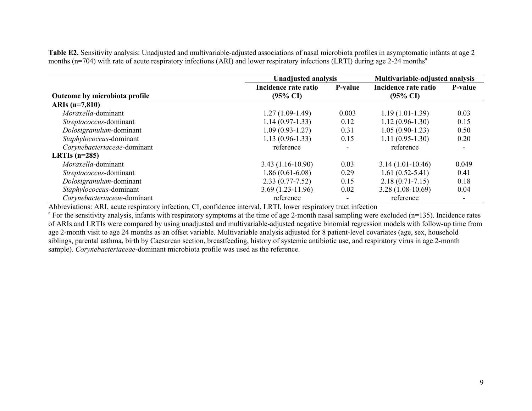**Table E2.** Sensitivity analysis: Unadjusted and multivariable-adjusted associations of nasal microbiota profiles in asymptomatic infants at age 2 months ( $n=704$ ) with rate of acute respiratory infections (ARI) and lower respiratory infections (LRTI) during age 2-24 months<sup>a</sup>

|                               |                                             | <b>Unadjusted analysis</b> |                                             | Multivariable-adjusted analysis |  |
|-------------------------------|---------------------------------------------|----------------------------|---------------------------------------------|---------------------------------|--|
| Outcome by microbiota profile | Incidence rate ratio<br>$(95\% \text{ CI})$ | P-value                    | Incidence rate ratio<br>$(95\% \text{ CI})$ | P-value                         |  |
| ARIs $(n=7,810)$              |                                             |                            |                                             |                                 |  |
| Moraxella-dominant            | $1.27(1.09-1.49)$                           | 0.003                      | $1.19(1.01-1.39)$                           | 0.03                            |  |
| Streptococcus-dominant        | $1.14(0.97-1.33)$                           | 0.12                       | $1.12(0.96-1.30)$                           | 0.15                            |  |
| Dolosigranulum-dominant       | $1.09(0.93-1.27)$                           | 0.31                       | $1.05(0.90-1.23)$                           | 0.50                            |  |
| Staphylococcus-dominant       | $1.13(0.96-1.33)$                           | 0.15                       | $1.11(0.95-1.30)$                           | 0.20                            |  |
| Corynebacteriaceae-dominant   | reference                                   |                            | reference                                   |                                 |  |
| LRTIs $(n=285)$               |                                             |                            |                                             |                                 |  |
| Moraxella-dominant            | $3.43(1.16-10.90)$                          | 0.03                       | $3.14(1.01-10.46)$                          | 0.049                           |  |
| Streptococcus-dominant        | $1.86(0.61-6.08)$                           | 0.29                       | $1.61(0.52 - 5.41)$                         | 0.41                            |  |
| Dolosigranulum-dominant       | $2.33(0.77 - 7.52)$                         | 0.15                       | $2.18(0.71 - 7.15)$                         | 0.18                            |  |
| Staphylococcus-dominant       | $3.69(1.23-11.96)$                          | 0.02                       | $3.28(1.08-10.69)$                          | 0.04                            |  |
| Corynebacteriaceae-dominant   | reference                                   |                            | reference                                   |                                 |  |

Abbreviations: ARI, acute respiratory infection, CI, confidence interval, LRTI, lower respiratory tract infection

<sup>a</sup> For the sensitivity analysis, infants with respiratory symptoms at the time of age 2-month nasal sampling were excluded (n=135). Incidence rates of ARIs and LRTIs were compared by using unadjusted and multivariable-adjusted negative binomial regression models with follow-up time from age 2-month visit to age 24 months as an offset variable. Multivariable analysis adjusted for 8 patient-level covariates (age, sex, household siblings, parental asthma, birth by Caesarean section, breastfeeding, history of systemic antibiotic use, and respiratory virus in age 2-month sample). *Corynebacteriaceae*-dominant microbiota profile was used as the reference.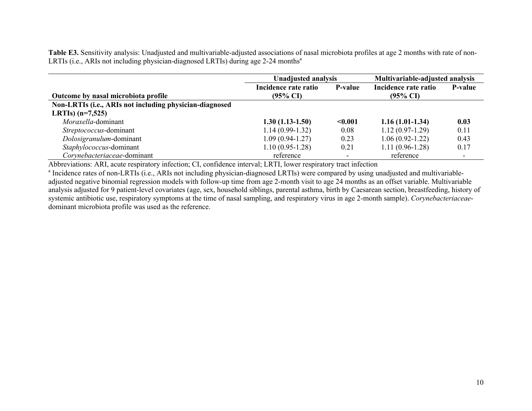**Table E3.** Sensitivity analysis: Unadjusted and multivariable-adjusted associations of nasal microbiota profiles at age 2 months with rate of non-LRTIs (i.e., ARIs not including physician-diagnosed LRTIs) during age 2-24 months<sup>a</sup>

|                                                         | <b>Unadjusted analysis</b> |                          | Multivariable-adjusted analysis |                          |
|---------------------------------------------------------|----------------------------|--------------------------|---------------------------------|--------------------------|
|                                                         | Incidence rate ratio       | <b>P-value</b>           | Incidence rate ratio            | <b>P-value</b>           |
| Outcome by nasal microbiota profile                     | $(95\% \text{ CI})$        |                          | $(95\% \text{ CI})$             |                          |
| Non-LRTIs (i.e., ARIs not including physician-diagnosed |                            |                          |                                 |                          |
| LRTIs) $(n=7,525)$                                      |                            |                          |                                 |                          |
| Moraxella-dominant                                      | $1.30(1.13-1.50)$          | < 0.001                  | $1.16(1.01-1.34)$               | 0.03                     |
| Streptococcus-dominant                                  | $1.14(0.99-1.32)$          | 0.08                     | $1.12(0.97-1.29)$               | 0.11                     |
| Dolosigranulum-dominant                                 | $1.09(0.94-1.27)$          | 0.23                     | $1.06(0.92 - 1.22)$             | 0.43                     |
| Staphylococcus-dominant                                 | $1.10(0.95-1.28)$          | 0.21                     | $1.11(0.96-1.28)$               | 0.17                     |
| Corynebacteriaceae-dominant                             | reference                  | $\overline{\phantom{0}}$ | reference                       | $\overline{\phantom{0}}$ |

Abbreviations: ARI, acute respiratory infection; CI, confidence interval; LRTI, lower respiratory tract infection

<sup>a</sup> Incidence rates of non-LRTIs (i.e., ARIs not including physician-diagnosed LRTIs) were compared by using unadjusted and multivariableadjusted negative binomial regression models with follow-up time from age 2-month visit to age 24 months as an offset variable. Multivariable analysis adjusted for 9 patient-level covariates (age, sex, household siblings, parental asthma, birth by Caesarean section, breastfeeding, history of systemic antibiotic use, respiratory symptoms at the time of nasal sampling, and respiratory virus in age 2-month sample). *Corynebacteriaceae*dominant microbiota profile was used as the reference.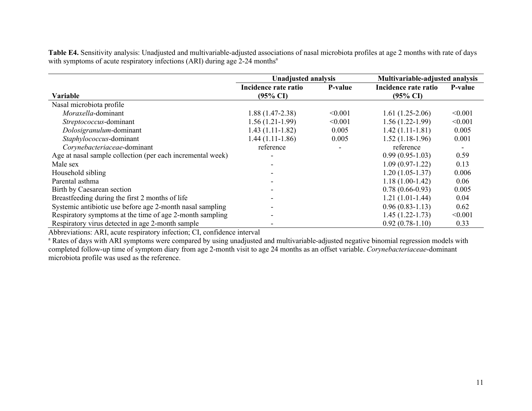**Table E4.** Sensitivity analysis: Unadjusted and multivariable-adjusted associations of nasal microbiota profiles at age 2 months with rate of days with symptoms of acute respiratory infections (ARI) during age 2-24 months<sup>a</sup>

|                                                            | <b>Unadjusted analysis</b>                  |         |                                             | Multivariable-adjusted analysis |  |
|------------------------------------------------------------|---------------------------------------------|---------|---------------------------------------------|---------------------------------|--|
| Variable                                                   | Incidence rate ratio<br>$(95\% \text{ CI})$ | P-value | Incidence rate ratio<br>$(95\% \text{ CI})$ | P-value                         |  |
| Nasal microbiota profile                                   |                                             |         |                                             |                                 |  |
| Moraxella-dominant                                         | $1.88(1.47-2.38)$                           | < 0.001 | $1.61(1.25-2.06)$                           | < 0.001                         |  |
| Streptococcus-dominant                                     | $1.56(1.21-1.99)$                           | < 0.001 | $1.56(1.22-1.99)$                           | < 0.001                         |  |
| Dolosigranulum-dominant                                    | $1.43(1.11-1.82)$                           | 0.005   | $1.42(1.11-1.81)$                           | 0.005                           |  |
| Staphylococcus-dominant                                    | $1.44(1.11-1.86)$                           | 0.005   | $1.52(1.18-1.96)$                           | 0.001                           |  |
| Corynebacteriaceae-dominant                                | reference                                   |         | reference                                   |                                 |  |
| Age at nasal sample collection (per each incremental week) |                                             |         | $0.99(0.95-1.03)$                           | 0.59                            |  |
| Male sex                                                   |                                             |         | $1.09(0.97-1.22)$                           | 0.13                            |  |
| Household sibling                                          |                                             |         | $1.20(1.05-1.37)$                           | 0.006                           |  |
| Parental asthma                                            |                                             |         | $1.18(1.00-1.42)$                           | 0.06                            |  |
| Birth by Caesarean section                                 |                                             |         | $0.78(0.66-0.93)$                           | 0.005                           |  |
| Breastfeeding during the first 2 months of life            |                                             |         | $1.21(1.01-1.44)$                           | 0.04                            |  |
| Systemic antibiotic use before age 2-month nasal sampling  |                                             |         | $0.96(0.83-1.13)$                           | 0.62                            |  |
| Respiratory symptoms at the time of age 2-month sampling   |                                             |         | $1.45(1.22-1.73)$                           | < 0.001                         |  |
| Respiratory virus detected in age 2-month sample           |                                             |         | $0.92(0.78-1.10)$                           | 0.33                            |  |

Abbreviations: ARI, acute respiratory infection; CI, confidence interval

<sup>a</sup> Rates of days with ARI symptoms were compared by using unadjusted and multivariable-adjusted negative binomial regression models with completed follow-up time of symptom diary from age 2-month visit to age 24 months as an offset variable. *Corynebacteriaceae*-dominant microbiota profile was used as the reference.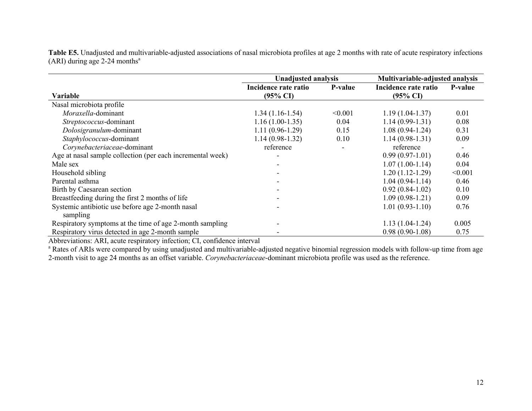**Table E5.** Unadjusted and multivariable-adjusted associations of nasal microbiota profiles at age 2 months with rate of acute respiratory infections (ARI) during age 2-24 months<sup>a</sup>

|                                                            | <b>Unadjusted analysis</b>                  |                          | Multivariable-adjusted analysis             |                          |  |
|------------------------------------------------------------|---------------------------------------------|--------------------------|---------------------------------------------|--------------------------|--|
| <b>Variable</b>                                            | Incidence rate ratio<br>$(95\% \text{ CI})$ | P-value                  | Incidence rate ratio<br>$(95\% \text{ CI})$ | P-value                  |  |
| Nasal microbiota profile                                   |                                             |                          |                                             |                          |  |
| Moraxella-dominant                                         | $1.34(1.16-1.54)$                           | < 0.001                  | $1.19(1.04-1.37)$                           | 0.01                     |  |
| Streptococcus-dominant                                     | $1.16(1.00-1.35)$                           | 0.04                     | $1.14(0.99-1.31)$                           | 0.08                     |  |
| Dolosigranulum-dominant                                    | $1.11(0.96-1.29)$                           | 0.15                     | $1.08(0.94-1.24)$                           | 0.31                     |  |
| Staphylococcus-dominant                                    | $1.14(0.98-1.32)$                           | 0.10                     | $1.14(0.98-1.31)$                           | 0.09                     |  |
| Corynebacteriaceae-dominant                                | reference                                   | $\overline{\phantom{a}}$ | reference                                   | $\overline{\phantom{0}}$ |  |
| Age at nasal sample collection (per each incremental week) |                                             |                          | $0.99(0.97-1.01)$                           | 0.46                     |  |
| Male sex                                                   |                                             |                          | $1.07(1.00-1.14)$                           | 0.04                     |  |
| Household sibling                                          |                                             |                          | $1.20(1.12-1.29)$                           | < 0.001                  |  |
| Parental asthma                                            |                                             |                          | $1.04(0.94-1.14)$                           | 0.46                     |  |
| Birth by Caesarean section                                 |                                             |                          | $0.92(0.84-1.02)$                           | 0.10                     |  |
| Breastfeeding during the first 2 months of life            |                                             |                          | $1.09(0.98-1.21)$                           | 0.09                     |  |
| Systemic antibiotic use before age 2-month nasal           |                                             |                          | $1.01(0.93-1.10)$                           | 0.76                     |  |
| sampling                                                   |                                             |                          |                                             |                          |  |
| Respiratory symptoms at the time of age 2-month sampling   |                                             |                          | $1.13(1.04-1.24)$                           | 0.005                    |  |
| Respiratory virus detected in age 2-month sample           |                                             |                          | $0.98(0.90-1.08)$                           | 0.75                     |  |

Abbreviations: ARI, acute respiratory infection; CI, confidence interval

<sup>a</sup> Rates of ARIs were compared by using unadjusted and multivariable-adjusted negative binomial regression models with follow-up time from age 2-month visit to age 24 months as an offset variable. *Corynebacteriaceae*-dominant microbiota profile was used as the reference.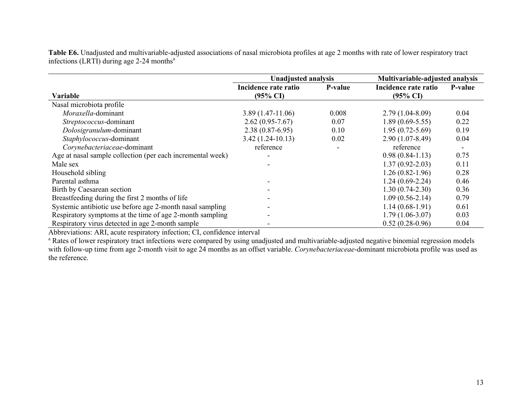**Table E6.** Unadjusted and multivariable-adjusted associations of nasal microbiota profiles at age 2 months with rate of lower respiratory tract infections (LRTI) during age  $2-24$  months<sup>a</sup>

|                                                            | <b>Unadjusted analysis</b>                  |                |                                             | Multivariable-adjusted analysis |  |
|------------------------------------------------------------|---------------------------------------------|----------------|---------------------------------------------|---------------------------------|--|
| Variable                                                   | Incidence rate ratio<br>$(95\% \text{ CI})$ | <b>P-value</b> | Incidence rate ratio<br>$(95\% \text{ CI})$ | <b>P-value</b>                  |  |
| Nasal microbiota profile                                   |                                             |                |                                             |                                 |  |
| Moraxella-dominant                                         | $3.89(1.47-11.06)$                          | 0.008          | $2.79(1.04-8.09)$                           | 0.04                            |  |
| Streptococcus-dominant                                     | $2.62(0.95 - 7.67)$                         | 0.07           | $1.89(0.69-5.55)$                           | 0.22                            |  |
| Dolosigranulum-dominant                                    | $2.38(0.87-6.95)$                           | 0.10           | $1.95(0.72 - 5.69)$                         | 0.19                            |  |
| Staphylococcus-dominant                                    | $3.42(1.24-10.13)$                          | 0.02           | $2.90(1.07-8.49)$                           | 0.04                            |  |
| Corynebacteriaceae-dominant                                | reference                                   |                | reference                                   |                                 |  |
| Age at nasal sample collection (per each incremental week) |                                             |                | $0.98(0.84-1.13)$                           | 0.75                            |  |
| Male sex                                                   |                                             |                | $1.37(0.92 - 2.03)$                         | 0.11                            |  |
| Household sibling                                          |                                             |                | $1.26(0.82-1.96)$                           | 0.28                            |  |
| Parental asthma                                            |                                             |                | $1.24(0.69-2.24)$                           | 0.46                            |  |
| Birth by Caesarean section                                 |                                             |                | $1.30(0.74-2.30)$                           | 0.36                            |  |
| Breastfeeding during the first 2 months of life            |                                             |                | $1.09(0.56-2.14)$                           | 0.79                            |  |
| Systemic antibiotic use before age 2-month nasal sampling  |                                             |                | $1.14(0.68-1.91)$                           | 0.61                            |  |
| Respiratory symptoms at the time of age 2-month sampling   |                                             |                | $1.79(1.06-3.07)$                           | 0.03                            |  |
| Respiratory virus detected in age 2-month sample           |                                             |                | $0.52(0.28-0.96)$                           | 0.04                            |  |

Abbreviations: ARI, acute respiratory infection; CI, confidence interval

<sup>a</sup> Rates of lower respiratory tract infections were compared by using unadjusted and multivariable-adjusted negative binomial regression models with follow-up time from age 2-month visit to age 24 months as an offset variable. *Corynebacteriaceae*-dominant microbiota profile was used as the reference.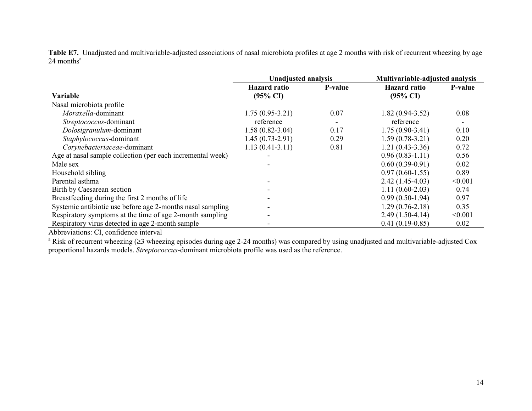**Table E7.** Unadjusted and multivariable-adjusted associations of nasal microbiota profiles at age 2 months with risk of recurrent wheezing by age  $24$  months<sup>a</sup>

|                                                            | <b>Unadjusted analysis</b>                 |         | Multivariable-adjusted analysis            |         |
|------------------------------------------------------------|--------------------------------------------|---------|--------------------------------------------|---------|
| Variable                                                   | <b>Hazard</b> ratio<br>$(95\% \text{ CI})$ | P-value | <b>Hazard</b> ratio<br>$(95\% \text{ CI})$ | P-value |
| Nasal microbiota profile                                   |                                            |         |                                            |         |
| Moraxella-dominant                                         | $1.75(0.95-3.21)$                          | 0.07    | $1.82(0.94-3.52)$                          | 0.08    |
| Streptococcus-dominant                                     | reference                                  |         | reference                                  |         |
| Dolosigranulum-dominant                                    | $1.58(0.82 - 3.04)$                        | 0.17    | $1.75(0.90-3.41)$                          | 0.10    |
| Staphylococcus-dominant                                    | $1.45(0.73-2.91)$                          | 0.29    | $1.59(0.78-3.21)$                          | 0.20    |
| Corynebacteriaceae-dominant                                | $1.13(0.41-3.11)$                          | 0.81    | $1.21(0.43-3.36)$                          | 0.72    |
| Age at nasal sample collection (per each incremental week) |                                            |         | $0.96(0.83-1.11)$                          | 0.56    |
| Male sex                                                   |                                            |         | $0.60(0.39-0.91)$                          | 0.02    |
| Household sibling                                          |                                            |         | $0.97(0.60-1.55)$                          | 0.89    |
| Parental asthma                                            |                                            |         | $2.42(1.45-4.03)$                          | < 0.001 |
| Birth by Caesarean section                                 |                                            |         | $1.11(0.60-2.03)$                          | 0.74    |
| Breastfeeding during the first 2 months of life            |                                            |         | $0.99(0.50-1.94)$                          | 0.97    |
| Systemic antibiotic use before age 2-months nasal sampling |                                            |         | $1.29(0.76-2.18)$                          | 0.35    |
| Respiratory symptoms at the time of age 2-month sampling   |                                            |         | $2.49(1.50-4.14)$                          | < 0.001 |
| Respiratory virus detected in age 2-month sample           |                                            |         | $0.41(0.19-0.85)$                          | 0.02    |

Abbreviations: CI, confidence interval

 $a$  Risk of recurrent wheezing ( $\geq$ 3 wheezing episodes during age 2-24 months) was compared by using unadjusted and multivariable-adjusted Cox proportional hazards models. *Streptococcus*-dominant microbiota profile was used as the reference.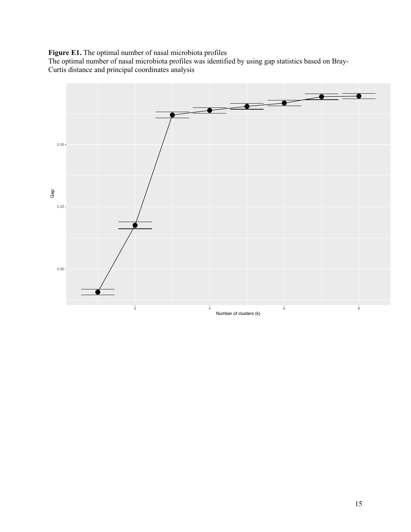# **Figure E1.** The optimal number of nasal microbiota profiles

The optimal number of nasal microbiota profiles was identified by using gap statistics based on Bray-Curtis distance and principal coordinates analysis

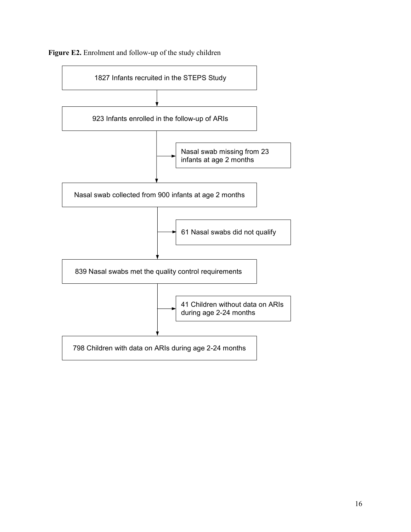

**Figure E2.** Enrolment and follow-up of the study children